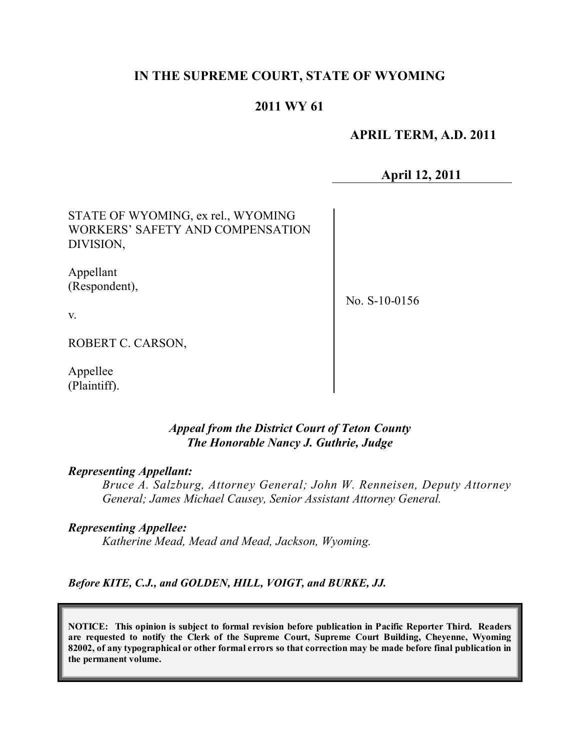## **IN THE SUPREME COURT, STATE OF WYOMING**

## **2011 WY 61**

 **APRIL TERM, A.D. 2011**

**April 12, 2011**

STATE OF WYOMING, ex rel., WYOMING WORKERS' SAFETY AND COMPENSATION DIVISION,

Appellant (Respondent),

No. S-10-0156

v.

ROBERT C. CARSON,

Appellee (Plaintiff).

#### *Appeal from the District Court of Teton County The Honorable Nancy J. Guthrie, Judge*

#### *Representing Appellant:*

*Bruce A. Salzburg, Attorney General; John W. Renneisen, Deputy Attorney General; James Michael Causey, Senior Assistant Attorney General.* 

#### *Representing Appellee:*

*Katherine Mead, Mead and Mead, Jackson, Wyoming.*

*Before KITE, C.J., and GOLDEN, HILL, VOIGT, and BURKE, JJ.*

**NOTICE: This opinion is subject to formal revision before publication in Pacific Reporter Third. Readers are requested to notify the Clerk of the Supreme Court, Supreme Court Building, Cheyenne, Wyoming** 82002, of any typographical or other formal errors so that correction may be made before final publication in **the permanent volume.**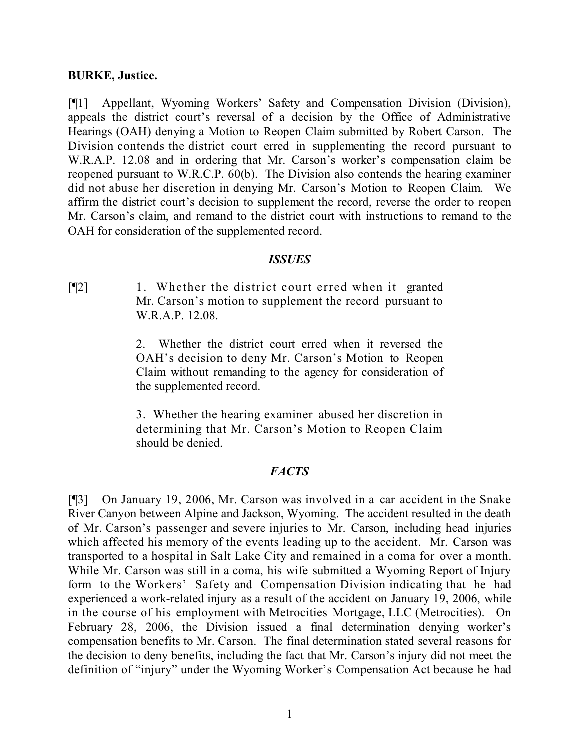### **BURKE, Justice.**

[¶1] Appellant, Wyoming Workers' Safety and Compensation Division (Division), appeals the district court's reversal of a decision by the Office of Administrative Hearings (OAH) denying a Motion to Reopen Claim submitted by Robert Carson. The Division contends the district court erred in supplementing the record pursuant to W.R.A.P. 12.08 and in ordering that Mr. Carson's worker's compensation claim be reopened pursuant to W.R.C.P. 60(b). The Division also contends the hearing examiner did not abuse her discretion in denying Mr. Carson's Motion to Reopen Claim. We affirm the district court's decision to supplement the record, reverse the order to reopen Mr. Carson's claim, and remand to the district court with instructions to remand to the OAH for consideration of the supplemented record.

### *ISSUES*

[¶2] 1. Whether the district court erred when it granted Mr. Carson's motion to supplement the record pursuant to W.R.A.P. 12.08.

> 2. Whether the district court erred when it reversed the OAH's decision to deny Mr. Carson's Motion to Reopen Claim without remanding to the agency for consideration of the supplemented record.

> 3. Whether the hearing examiner abused her discretion in determining that Mr. Carson's Motion to Reopen Claim should be denied.

#### *FACTS*

[¶3] On January 19, 2006, Mr. Carson was involved in a car accident in the Snake River Canyon between Alpine and Jackson, Wyoming. The accident resulted in the death of Mr. Carson's passenger and severe injuries to Mr. Carson, including head injuries which affected his memory of the events leading up to the accident. Mr. Carson was transported to a hospital in Salt Lake City and remained in a coma for over a month. While Mr. Carson was still in a coma, his wife submitted a Wyoming Report of Injury form to the Workers' Safety and Compensation Division indicating that he had experienced a work-related injury as a result of the accident on January 19, 2006, while in the course of his employment with Metrocities Mortgage, LLC (Metrocities). On February 28, 2006, the Division issued a final determination denying worker's compensation benefits to Mr. Carson. The final determination stated several reasons for the decision to deny benefits, including the fact that Mr. Carson's injury did not meet the definition of "injury" under the Wyoming Worker's Compensation Act because he had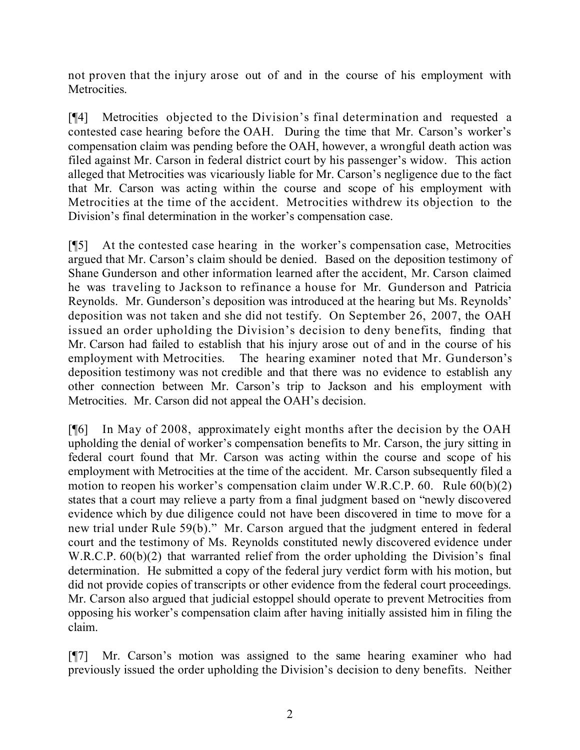not proven that the injury arose out of and in the course of his employment with Metrocities.

[¶4] Metrocities objected to the Division's final determination and requested a contested case hearing before the OAH. During the time that Mr. Carson's worker's compensation claim was pending before the OAH, however, a wrongful death action was filed against Mr. Carson in federal district court by his passenger's widow. This action alleged that Metrocities was vicariously liable for Mr. Carson's negligence due to the fact that Mr. Carson was acting within the course and scope of his employment with Metrocities at the time of the accident. Metrocities withdrew its objection to the Division's final determination in the worker's compensation case.

[¶5] At the contested case hearing in the worker's compensation case, Metrocities argued that Mr. Carson's claim should be denied. Based on the deposition testimony of Shane Gunderson and other information learned after the accident, Mr. Carson claimed he was traveling to Jackson to refinance a house for Mr. Gunderson and Patricia Reynolds. Mr. Gunderson's deposition was introduced at the hearing but Ms. Reynolds' deposition was not taken and she did not testify. On September 26, 2007, the OAH issued an order upholding the Division's decision to deny benefits, finding that Mr. Carson had failed to establish that his injury arose out of and in the course of his employment with Metrocities. The hearing examiner noted that Mr. Gunderson's deposition testimony was not credible and that there was no evidence to establish any other connection between Mr. Carson's trip to Jackson and his employment with Metrocities. Mr. Carson did not appeal the OAH's decision.

[¶6] In May of 2008, approximately eight months after the decision by the OAH upholding the denial of worker's compensation benefits to Mr. Carson, the jury sitting in federal court found that Mr. Carson was acting within the course and scope of his employment with Metrocities at the time of the accident. Mr. Carson subsequently filed a motion to reopen his worker's compensation claim under W.R.C.P. 60. Rule 60(b)(2) states that a court may relieve a party from a final judgment based on "newly discovered evidence which by due diligence could not have been discovered in time to move for a new trial under Rule 59(b)." Mr. Carson argued that the judgment entered in federal court and the testimony of Ms. Reynolds constituted newly discovered evidence under W.R.C.P.  $60(b)(2)$  that warranted relief from the order upholding the Division's final determination. He submitted a copy of the federal jury verdict form with his motion, but did not provide copies of transcripts or other evidence from the federal court proceedings. Mr. Carson also argued that judicial estoppel should operate to prevent Metrocities from opposing his worker's compensation claim after having initially assisted him in filing the claim.

[¶7] Mr. Carson's motion was assigned to the same hearing examiner who had previously issued the order upholding the Division's decision to deny benefits. Neither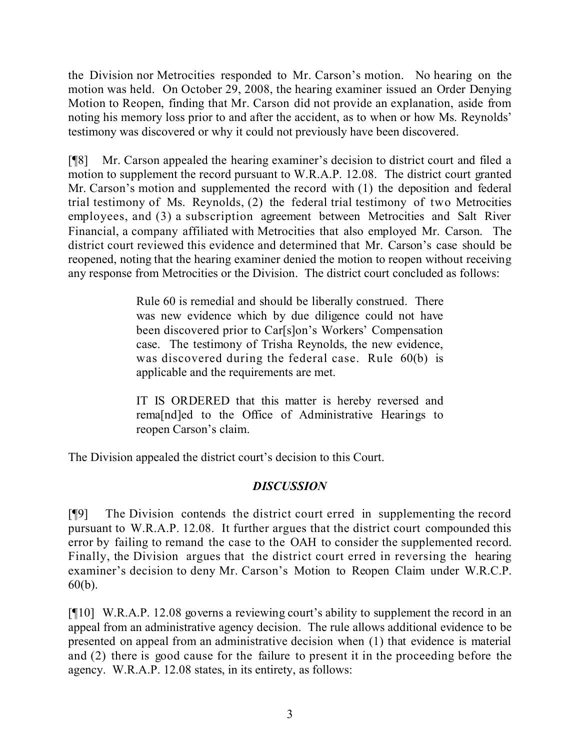the Division nor Metrocities responded to Mr. Carson's motion. No hearing on the motion was held. On October 29, 2008, the hearing examiner issued an Order Denying Motion to Reopen, finding that Mr. Carson did not provide an explanation, aside from noting his memory loss prior to and after the accident, as to when or how Ms. Reynolds' testimony was discovered or why it could not previously have been discovered.

[¶8] Mr. Carson appealed the hearing examiner's decision to district court and filed a motion to supplement the record pursuant to W.R.A.P. 12.08. The district court granted Mr. Carson's motion and supplemented the record with (1) the deposition and federal trial testimony of Ms. Reynolds, (2) the federal trial testimony of two Metrocities employees, and (3) a subscription agreement between Metrocities and Salt River Financial, a company affiliated with Metrocities that also employed Mr. Carson. The district court reviewed this evidence and determined that Mr. Carson's case should be reopened, noting that the hearing examiner denied the motion to reopen without receiving any response from Metrocities or the Division. The district court concluded as follows:

> Rule 60 is remedial and should be liberally construed. There was new evidence which by due diligence could not have been discovered prior to Carlslon's Workers' Compensation case. The testimony of Trisha Reynolds, the new evidence, was discovered during the federal case. Rule 60(b) is applicable and the requirements are met.

> IT IS ORDERED that this matter is hereby reversed and rema[nd]ed to the Office of Administrative Hearings to reopen Carson's claim.

The Division appealed the district court's decision to this Court.

# *DISCUSSION*

[¶9] The Division contends the district court erred in supplementing the record pursuant to W.R.A.P. 12.08. It further argues that the district court compounded this error by failing to remand the case to the OAH to consider the supplemented record. Finally, the Division argues that the district court erred in reversing the hearing examiner's decision to deny Mr. Carson's Motion to Reopen Claim under W.R.C.P. 60(b).

[¶10] W.R.A.P. 12.08 governs a reviewing court's ability to supplement the record in an appeal from an administrative agency decision. The rule allows additional evidence to be presented on appeal from an administrative decision when (1) that evidence is material and (2) there is good cause for the failure to present it in the proceeding before the agency. W.R.A.P. 12.08 states, in its entirety, as follows: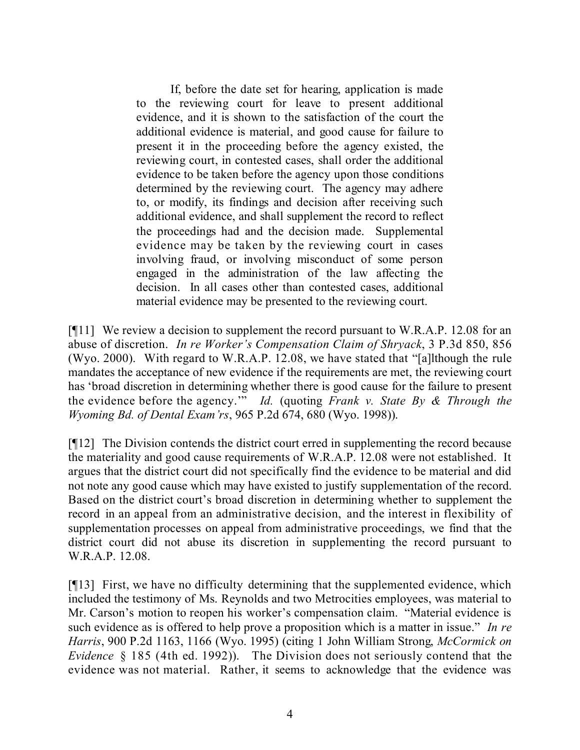If, before the date set for hearing, application is made to the reviewing court for leave to present additional evidence, and it is shown to the satisfaction of the court the additional evidence is material, and good cause for failure to present it in the proceeding before the agency existed, the reviewing court, in contested cases, shall order the additional evidence to be taken before the agency upon those conditions determined by the reviewing court. The agency may adhere to, or modify, its findings and decision after receiving such additional evidence, and shall supplement the record to reflect the proceedings had and the decision made. Supplemental evidence may be taken by the reviewing court in cases involving fraud, or involving misconduct of some person engaged in the administration of the law affecting the decision. In all cases other than contested cases, additional material evidence may be presented to the reviewing court.

[¶11] We review a decision to supplement the record pursuant to W.R.A.P. 12.08 for an abuse of discretion. *In re Worker's Compensation Claim of Shryack*, 3 P.3d 850, 856 (Wyo. 2000). With regard to W.R.A.P. 12.08, we have stated that "[a]lthough the rule mandates the acceptance of new evidence if the requirements are met, the reviewing court has 'broad discretion in determining whether there is good cause for the failure to present the evidence before the agency.'" *Id.* (quoting *Frank v. State By & Through the Wyoming Bd. of Dental Exam'rs*, 965 P.2d 674, 680 (Wyo. 1998)).

[¶12] The Division contends the district court erred in supplementing the record because the materiality and good cause requirements of W.R.A.P. 12.08 were not established. It argues that the district court did not specifically find the evidence to be material and did not note any good cause which may have existed to justify supplementation of the record. Based on the district court's broad discretion in determining whether to supplement the record in an appeal from an administrative decision, and the interest in flexibility of supplementation processes on appeal from administrative proceedings, we find that the district court did not abuse its discretion in supplementing the record pursuant to W.R.A.P. 12.08.

[¶13] First, we have no difficulty determining that the supplemented evidence, which included the testimony of Ms. Reynolds and two Metrocities employees, was material to Mr. Carson's motion to reopen his worker's compensation claim. "Material evidence is such evidence as is offered to help prove a proposition which is a matter in issue." *In re Harris*, 900 P.2d 1163, 1166 (Wyo. 1995) (citing 1 John William Strong, *McCormick on Evidence* § 185 (4th ed. 1992)). The Division does not seriously contend that the evidence was not material. Rather, it seems to acknowledge that the evidence was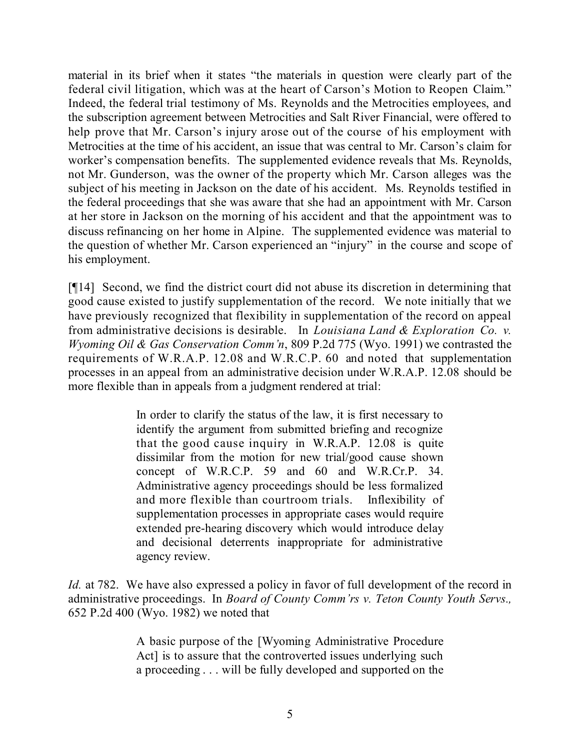material in its brief when it states "the materials in question were clearly part of the federal civil litigation, which was at the heart of Carson's Motion to Reopen Claim." Indeed, the federal trial testimony of Ms. Reynolds and the Metrocities employees, and the subscription agreement between Metrocities and Salt River Financial, were offered to help prove that Mr. Carson's injury arose out of the course of his employment with Metrocities at the time of his accident, an issue that was central to Mr. Carson's claim for worker's compensation benefits. The supplemented evidence reveals that Ms. Reynolds, not Mr. Gunderson, was the owner of the property which Mr. Carson alleges was the subject of his meeting in Jackson on the date of his accident. Ms. Reynolds testified in the federal proceedings that she was aware that she had an appointment with Mr. Carson at her store in Jackson on the morning of his accident and that the appointment was to discuss refinancing on her home in Alpine. The supplemented evidence was material to the question of whether Mr. Carson experienced an "injury" in the course and scope of his employment.

[¶14] Second, we find the district court did not abuse its discretion in determining that good cause existed to justify supplementation of the record. We note initially that we have previously recognized that flexibility in supplementation of the record on appeal from administrative decisions is desirable. In *Louisiana Land & Exploration Co. v. Wyoming Oil & Gas Conservation Comm'n*, 809 P.2d 775 (Wyo. 1991) we contrasted the requirements of W.R.A.P. 12.08 and W.R.C.P. 60 and noted that supplementation processes in an appeal from an administrative decision under W.R.A.P. 12.08 should be more flexible than in appeals from a judgment rendered at trial:

> In order to clarify the status of the law, it is first necessary to identify the argument from submitted briefing and recognize that the good cause inquiry in W.R.A.P. 12.08 is quite dissimilar from the motion for new trial/good cause shown concept of W.R.C.P. 59 and 60 and W.R.Cr.P. 34. Administrative agency proceedings should be less formalized and more flexible than courtroom trials. Inflexibility of supplementation processes in appropriate cases would require extended pre-hearing discovery which would introduce delay and decisional deterrents inappropriate for administrative agency review.

*Id.* at 782. We have also expressed a policy in favor of full development of the record in administrative proceedings. In *Board of County Comm'rs v. Teton County Youth Servs.,* 652 P.2d 400 (Wyo. 1982) we noted that

> A basic purpose of the [Wyoming Administrative Procedure Act] is to assure that the controverted issues underlying such a proceeding . . . will be fully developed and supported on the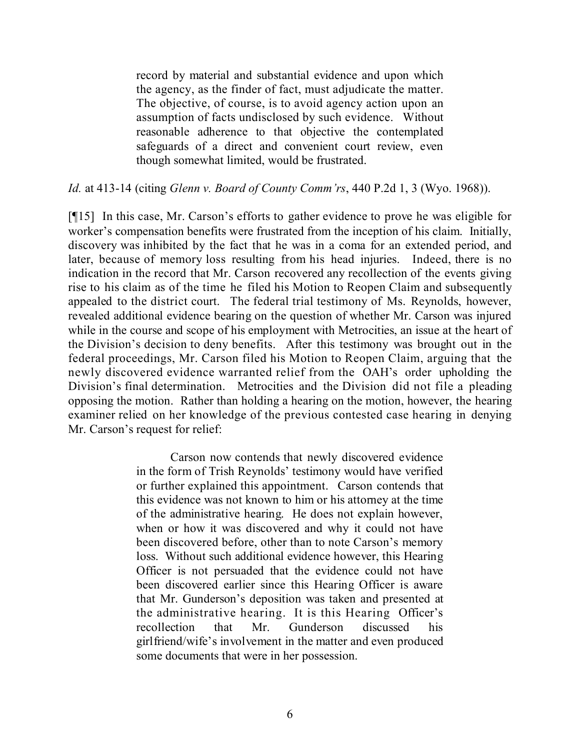record by material and substantial evidence and upon which the agency, as the finder of fact, must adjudicate the matter. The objective, of course, is to avoid agency action upon an assumption of facts undisclosed by such evidence. Without reasonable adherence to that objective the contemplated safeguards of a direct and convenient court review, even though somewhat limited, would be frustrated.

*Id.* at 413-14 (citing *Glenn v. Board of County Comm'rs*, 440 P.2d 1, 3 (Wyo. 1968)).

[¶15] In this case, Mr. Carson's efforts to gather evidence to prove he was eligible for worker's compensation benefits were frustrated from the inception of his claim. Initially, discovery was inhibited by the fact that he was in a coma for an extended period, and later, because of memory loss resulting from his head injuries. Indeed, there is no indication in the record that Mr. Carson recovered any recollection of the events giving rise to his claim as of the time he filed his Motion to Reopen Claim and subsequently appealed to the district court. The federal trial testimony of Ms. Reynolds, however, revealed additional evidence bearing on the question of whether Mr. Carson was injured while in the course and scope of his employment with Metrocities, an issue at the heart of the Division's decision to deny benefits. After this testimony was brought out in the federal proceedings, Mr. Carson filed his Motion to Reopen Claim, arguing that the newly discovered evidence warranted relief from the OAH's order upholding the Division's final determination. Metrocities and the Division did not file a pleading opposing the motion. Rather than holding a hearing on the motion, however, the hearing examiner relied on her knowledge of the previous contested case hearing in denying Mr. Carson's request for relief:

> Carson now contends that newly discovered evidence in the form of Trish Reynolds' testimony would have verified or further explained this appointment. Carson contends that this evidence was not known to him or his attorney at the time of the administrative hearing. He does not explain however, when or how it was discovered and why it could not have been discovered before, other than to note Carson's memory loss. Without such additional evidence however, this Hearing Officer is not persuaded that the evidence could not have been discovered earlier since this Hearing Officer is aware that Mr. Gunderson's deposition was taken and presented at the administrative hearing. It is this Hearing Officer's recollection that Mr. Gunderson discussed his girlfriend/wife's involvement in the matter and even produced some documents that were in her possession.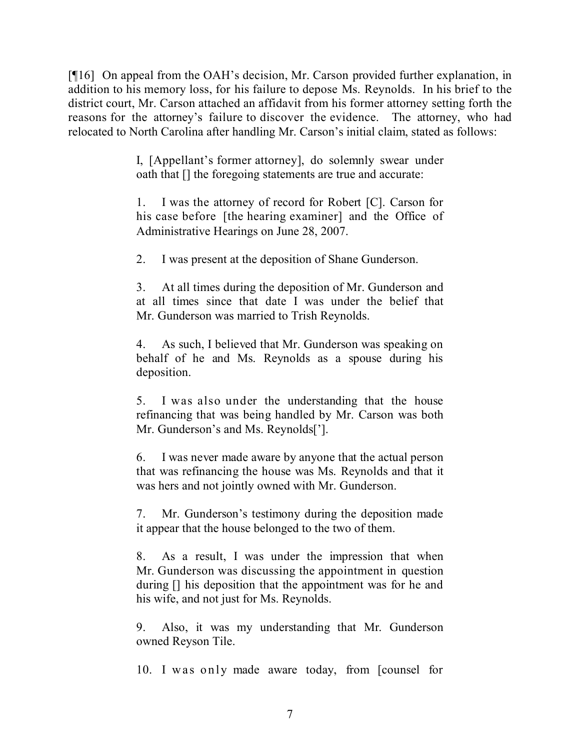[¶16] On appeal from the OAH's decision, Mr. Carson provided further explanation, in addition to his memory loss, for his failure to depose Ms. Reynolds. In his brief to the district court, Mr. Carson attached an affidavit from his former attorney setting forth the reasons for the attorney's failure to discover the evidence. The attorney, who had relocated to North Carolina after handling Mr. Carson's initial claim, stated as follows:

> I, [Appellant's former attorney], do solemnly swear under oath that [] the foregoing statements are true and accurate:

> 1. I was the attorney of record for Robert [C]. Carson for his case before [the hearing examiner] and the Office of Administrative Hearings on June 28, 2007.

2. I was present at the deposition of Shane Gunderson.

3. At all times during the deposition of Mr. Gunderson and at all times since that date I was under the belief that Mr. Gunderson was married to Trish Reynolds.

4. As such, I believed that Mr. Gunderson was speaking on behalf of he and Ms. Reynolds as a spouse during his deposition.

5. I was also under the understanding that the house refinancing that was being handled by Mr. Carson was both Mr. Gunderson's and Ms. Reynolds<sup>[']</sup>.

6. I was never made aware by anyone that the actual person that was refinancing the house was Ms. Reynolds and that it was hers and not jointly owned with Mr. Gunderson.

7. Mr. Gunderson's testimony during the deposition made it appear that the house belonged to the two of them.

8. As a result, I was under the impression that when Mr. Gunderson was discussing the appointment in question during [] his deposition that the appointment was for he and his wife, and not just for Ms. Reynolds.

9. Also, it was my understanding that Mr. Gunderson owned Reyson Tile.

10. I was only made aware today, from [counsel for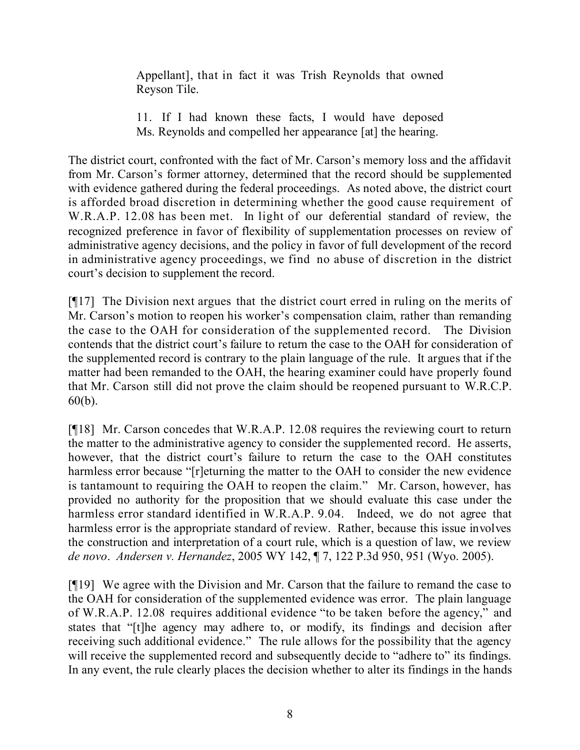Appellant], that in fact it was Trish Reynolds that owned Reyson Tile.

11. If I had known these facts, I would have deposed Ms. Reynolds and compelled her appearance [at] the hearing.

The district court, confronted with the fact of Mr. Carson's memory loss and the affidavit from Mr. Carson's former attorney, determined that the record should be supplemented with evidence gathered during the federal proceedings. As noted above, the district court is afforded broad discretion in determining whether the good cause requirement of W.R.A.P. 12.08 has been met. In light of our deferential standard of review, the recognized preference in favor of flexibility of supplementation processes on review of administrative agency decisions, and the policy in favor of full development of the record in administrative agency proceedings, we find no abuse of discretion in the district court's decision to supplement the record.

[¶17] The Division next argues that the district court erred in ruling on the merits of Mr. Carson's motion to reopen his worker's compensation claim, rather than remanding the case to the OAH for consideration of the supplemented record. The Division contends that the district court's failure to return the case to the OAH for consideration of the supplemented record is contrary to the plain language of the rule. It argues that if the matter had been remanded to the OAH, the hearing examiner could have properly found that Mr. Carson still did not prove the claim should be reopened pursuant to W.R.C.P. 60(b).

[¶18] Mr. Carson concedes that W.R.A.P. 12.08 requires the reviewing court to return the matter to the administrative agency to consider the supplemented record. He asserts, however, that the district court's failure to return the case to the OAH constitutes harmless error because "[r]eturning the matter to the OAH to consider the new evidence is tantamount to requiring the OAH to reopen the claim." Mr. Carson, however, has provided no authority for the proposition that we should evaluate this case under the harmless error standard identified in W.R.A.P. 9.04. Indeed, we do not agree that harmless error is the appropriate standard of review. Rather, because this issue involves the construction and interpretation of a court rule, which is a question of law, we review *de novo*. *Andersen v. Hernandez*, 2005 WY 142, ¶ 7, 122 P.3d 950, 951 (Wyo. 2005).

[¶19] We agree with the Division and Mr. Carson that the failure to remand the case to the OAH for consideration of the supplemented evidence was error. The plain language of W.R.A.P. 12.08 requires additional evidence "to be taken before the agency," and states that "[t]he agency may adhere to, or modify, its findings and decision after receiving such additional evidence." The rule allows for the possibility that the agency will receive the supplemented record and subsequently decide to "adhere to" its findings. In any event, the rule clearly places the decision whether to alter its findings in the hands